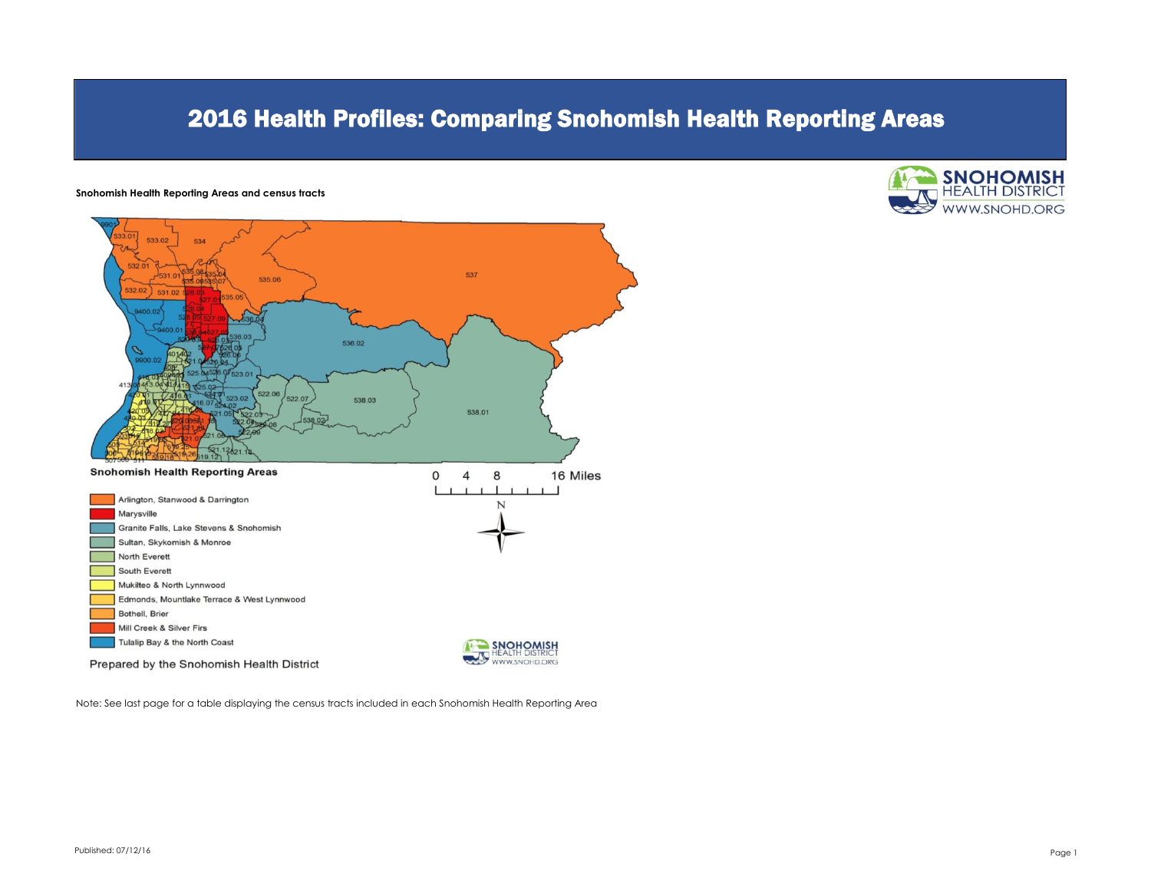# 2016 Health Profiles: Comparing Snohomish Health Reporting Areas

#### **Snohomish Health Reporting Areas and census tracts**





Note: See last page for a table displaying the census tracts included in each Snohomish Health Reporting Area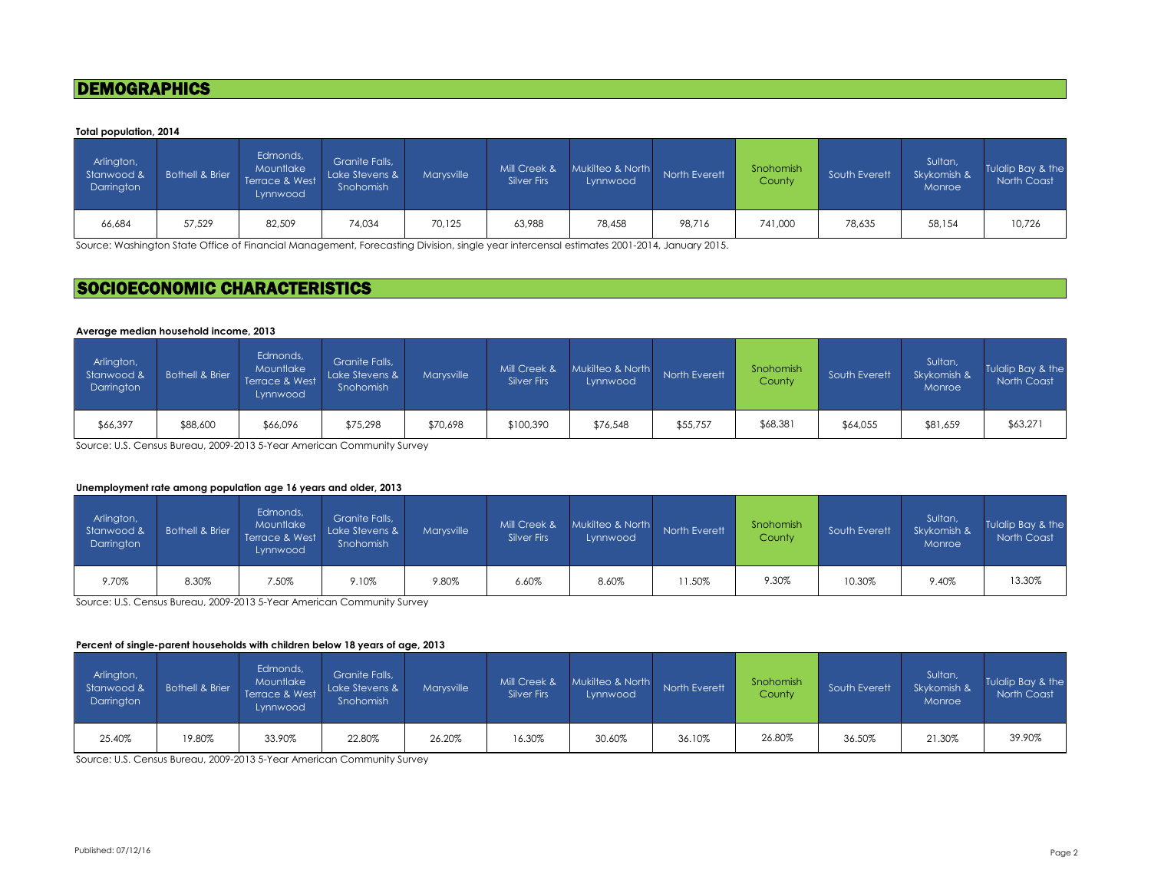### **DEMOGRAPHICS**

#### **Total population, 2014**

| Arlington,<br>Stanwood &<br>Darrington | <b>Bothell &amp; Brier</b> | Edmonds,<br>Mountlake<br>Terrace & West<br>Lynnwood | Granite Falls,<br>Lake Stevens &<br>Snohomish | <b>Marvsville</b> | Mill Creek &<br><b>Silver Firs</b> | Mukilteo & North<br>Lynnwood | North Everett | Snohomish<br>County | South Everett | Sultan,<br>Skykomish &<br>Monroe | Tulalip Bay & the<br>North Coast |
|----------------------------------------|----------------------------|-----------------------------------------------------|-----------------------------------------------|-------------------|------------------------------------|------------------------------|---------------|---------------------|---------------|----------------------------------|----------------------------------|
| 66,684                                 | 57,529                     | 82,509                                              | 74,034                                        | 70,125            | 63,988                             | 78,458                       | 98.716        | 741,000             | 78,635        | 58,154                           | 10,726                           |

Source: Washington State Office of Financial Management, Forecasting Division, single year intercensal estimates 2001-2014, January 2015.

## SOCIOECONOMIC CHARACTERISTICS

#### **Average median household income, 2013**

| Arlington,<br>Stanwood &<br>Darrington | Bothell & Brier | Edmonds,<br>Mountlake<br>Terrace & West<br>Lynnwood | Granite Falls,<br>Lake Stevens &<br>Snohomish | <b>Marvsville</b> | Mill Creek &<br><b>Silver Firs</b> | Mukilteo & North<br>Lynnwood | North Everett | Snohomish<br>County | South Everett | Sultan,<br>Skykomish &<br>Monroe | Tulalip Bay & the<br>North Coast |
|----------------------------------------|-----------------|-----------------------------------------------------|-----------------------------------------------|-------------------|------------------------------------|------------------------------|---------------|---------------------|---------------|----------------------------------|----------------------------------|
| \$66,397                               | \$88,600        | \$66,096                                            | \$75,298                                      | \$70,698          | \$100,390                          | \$76,548                     | \$55,757      | \$68,381            | \$64,055      | \$81,659                         | \$63,271                         |

Source: U.S. Census Bureau, 2009-2013 5-Year American Community Survey

#### **Unemployment rate among population age 16 years and older, 2013**

| Arlington,<br>Stanwood &<br>Darrington | <b>Bothell &amp; Brier</b> | Edmonds,<br>Mountlake<br>Terrace & West<br>Lynnwood | Granite Falls,<br>Lake Stevens &<br>Snohomish | <b>Marvsville</b> | Mill Creek &<br><b>Silver Firs</b> | Mukilteo & North<br>Lynnwood | North Everett | Snohomish<br>County | South Everett | Sultan,<br>Skykomish &<br>Monroe | Tulalip Bay & the<br>North Coast |
|----------------------------------------|----------------------------|-----------------------------------------------------|-----------------------------------------------|-------------------|------------------------------------|------------------------------|---------------|---------------------|---------------|----------------------------------|----------------------------------|
| 9.70%                                  | 8.30%                      | 7.50%                                               | 9.10%                                         | 9.80%             | 6.60%                              | 8.60%                        | 1.50%         | 9.30%               | 10.30%        | 9.40%                            | 13.30%                           |

Source: U.S. Census Bureau, 2009-2013 5-Year American Community Survey

#### **Percent of single-parent households with children below 18 years of age, 2013**

| Arlington,<br>Stanwood &<br>Darrington | <b>Bothell &amp; Brier</b> | Edmonds,<br>Mountlake<br>Terrace & West<br>Lynnwood | Granite Falls,<br>Lake Stevens &<br>Snohomish | Marvsville | Mill Creek &<br>Silver Firs | Mukilteo & North<br>Lynnwood | North Everett | Snohomish<br>County | South Everett | Sultan,<br>Skykomish &<br>Monroe | Tulalip Bay & the<br>North Coast |
|----------------------------------------|----------------------------|-----------------------------------------------------|-----------------------------------------------|------------|-----------------------------|------------------------------|---------------|---------------------|---------------|----------------------------------|----------------------------------|
| 25.40%                                 | 19.80%                     | 33.90%                                              | 22.80%                                        | 26.20%     | 16.30%                      | 30.60%                       | 36.10%        | 26.80%              | 36.50%        | 21.30%                           | 39.90%                           |

Source: U.S. Census Bureau, 2009-2013 5-Year American Community Survey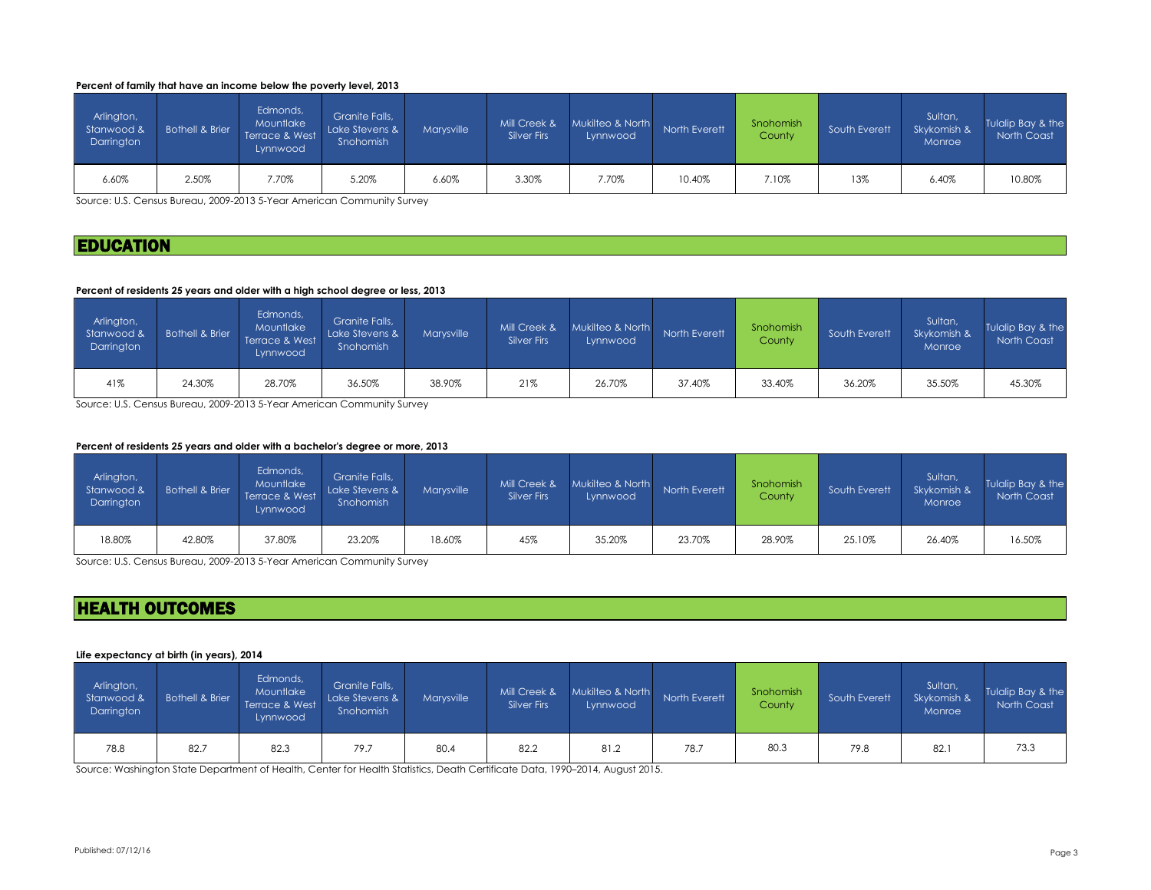#### **Percent of family that have an income below the poverty level, 2013**

| Arlington,<br>Stanwood &<br>Darrington | Bothell & Brier | Edmonds,<br>Mountlake<br>Terrace & West<br>Lynnwood | Granite Falls,<br>Lake Stevens &<br>Snohomish | <b>Marysville</b> | Mill Creek &<br>Silver Firs | Mukilteo & North<br>Lynnwood | North Everett | Snohomish<br>County | South Everett | Sultan,<br>Skykomish &<br>Monroe | Tulalip Bay & the<br><b>North Coast</b> |
|----------------------------------------|-----------------|-----------------------------------------------------|-----------------------------------------------|-------------------|-----------------------------|------------------------------|---------------|---------------------|---------------|----------------------------------|-----------------------------------------|
| 6.60%                                  | 2.50%           | 7.70%                                               | 5.20%                                         | 6.60%             | 3.30%                       | 7.70%                        | 10.40%        | 7.10%               | 13%           | 6.40%                            | 10.80%                                  |

Source: U.S. Census Bureau, 2009-2013 5-Year American Community Survey

### **EDUCATION**

#### **Percent of residents 25 years and older with a high school degree or less, 2013**

| Arlington,<br>Stanwood &<br>Darrington | Bothell & Brier | Edmonds,<br>Mountlake<br>Terrace & West<br>Lynnwood | Granite Falls,<br>Lake Stevens &<br>Snohomish | Marvsville | Mill Creek &<br><b>Silver Firs</b> | Mukilteo & North<br>Lynnwood | North Everett | Snohomish<br>County | South Everett | Sultan,<br>Skykomish &<br><b>Monroe</b> | Tulalip Bay & the<br>North Coast |
|----------------------------------------|-----------------|-----------------------------------------------------|-----------------------------------------------|------------|------------------------------------|------------------------------|---------------|---------------------|---------------|-----------------------------------------|----------------------------------|
| 41%                                    | 24.30%          | 28.70%                                              | 36.50%                                        | 38.90%     | 21%                                | 26.70%                       | 37.40%        | 33.40%              | 36.20%        | 35.50%                                  | 45.30%                           |

Source: U.S. Census Bureau, 2009-2013 5-Year American Community Survey

#### **Percent of residents 25 years and older with a bachelor's degree or more, 2013**

| Arlington,<br>Stanwood &<br>Darrington | <b>Bothell &amp; Brier</b> | Edmonds,<br>Mountlake<br>Terrace & West<br>Lynnwood | Granite Falls.<br>Lake Stevens &<br>Snohomish | Marvsville | Mill Creek &<br><b>Silver Firs</b> | Mukilteo & North<br>Lynnwood | North Everett | Snohomish<br>County | South Everett | Sultan,<br>Skykomish &<br>Monroe | Tulalip Bay & the<br>North Coast |
|----------------------------------------|----------------------------|-----------------------------------------------------|-----------------------------------------------|------------|------------------------------------|------------------------------|---------------|---------------------|---------------|----------------------------------|----------------------------------|
| 18.80%                                 | 42.80%                     | 37.80%                                              | 23.20%                                        | 18.60%     | 45%                                | 35.20%                       | 23.70%        | 28.90%              | 25.10%        | 26.40%                           | 16.50%                           |

Source: U.S. Census Bureau, 2009-2013 5-Year American Community Survey

# HEALTH OUTCOMES

#### **Life expectancy at birth (in years), 2014**

| Arlington,<br>Stanwood &<br>Darrington | Bothell & Brier | Edmonds,<br>Mountlake<br>Terrace & West<br>Lynnwood | Granite Falls,<br>Lake Stevens &<br>Snohomish | Marvsville | Mill Creek &<br>Silver Firs | Mukilteo & North<br>Lynnwood | North Everett | Snohomish<br>County | South Everett | Sultan,<br>Skykomish &<br>Monroe | Tulalip Bay & the<br>North Coast |
|----------------------------------------|-----------------|-----------------------------------------------------|-----------------------------------------------|------------|-----------------------------|------------------------------|---------------|---------------------|---------------|----------------------------------|----------------------------------|
| 78.8                                   | 82.7            | 82.3                                                | 79.7                                          | 80.4       | 82.2                        | 81.2                         | 78.7          | 80.3                | 79.8          | 82.1                             | 73.3                             |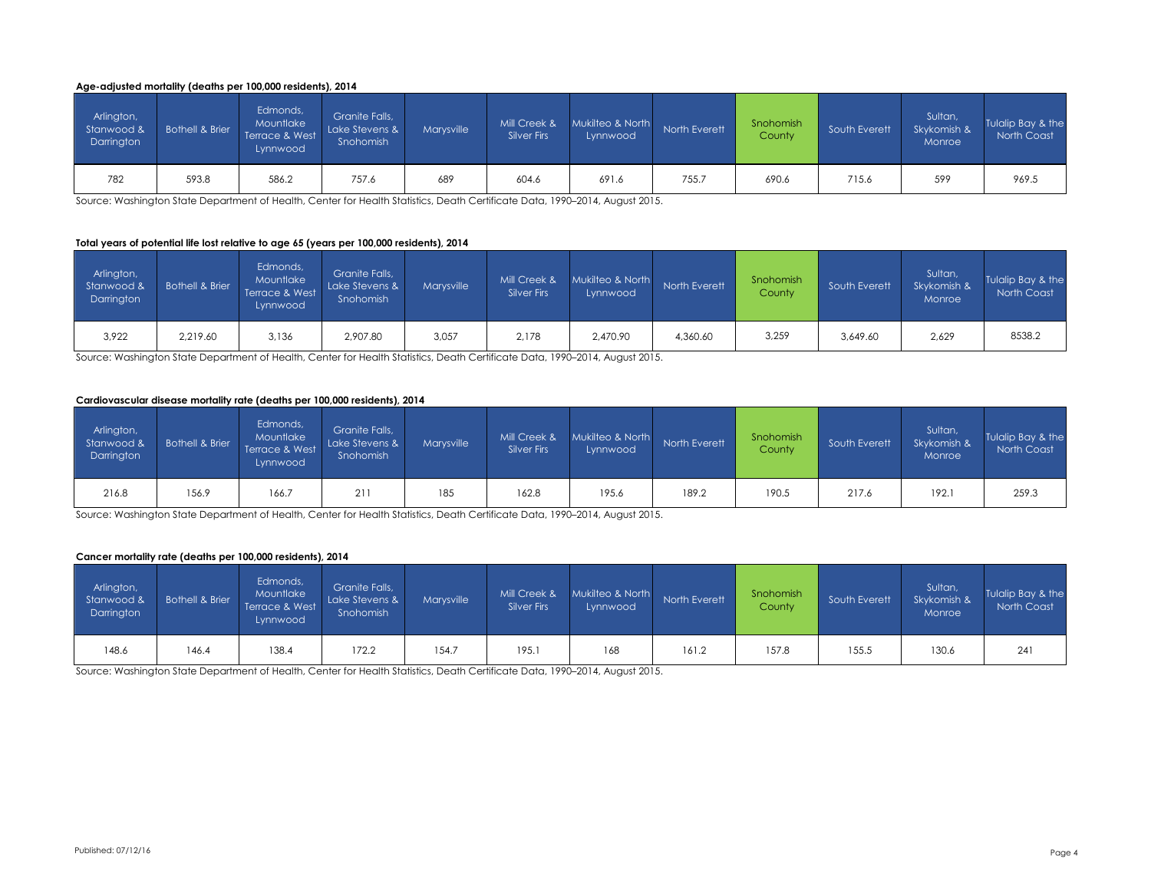#### **Age-adjusted mortality (deaths per 100,000 residents), 2014**

| Arlington,<br>Stanwood &<br>Darrington | <b>Bothell &amp; Brier</b> | Edmonds,<br>Mountlake<br>Terrace & West<br>Lynnwood | Granite Falls.<br>Lake Stevens &<br>Snohomish | Marvsville | Mill Creek &<br><b>Silver Firs</b> | Mukilteo & North<br>Lynnwood | North Everett | Snohomish<br>County | South Everett | Sultan,<br>Skykomish &<br>Monroe | Tulalip Bay & the<br>North Coast |
|----------------------------------------|----------------------------|-----------------------------------------------------|-----------------------------------------------|------------|------------------------------------|------------------------------|---------------|---------------------|---------------|----------------------------------|----------------------------------|
| 782                                    | 593.8                      | 586.2                                               | 757.6                                         | 689        | 604.6                              | 691.6                        | 755.          | 690.6               | 715.6         | 599                              | 969.5                            |

Source: Washington State Department of Health, Center for Health Statistics, Death Certificate Data, 1990–2014, August 2015.

#### **Total years of potential life lost relative to age 65 (years per 100,000 residents), 2014**

| Arlington,<br>Stanwood &<br>Darrington | <b>Bothell &amp; Brier</b> | Edmonds,<br>Mountlake<br>Terrace & West<br>Lynnwood | Granite Falls.<br>Lake Stevens &<br>Snohomish | Marvsville | Mill Creek &<br>Silver Firs | Mukilteo & North<br>Lynnwood | North Everett | Snohomish<br>County | South Everett | Sultan,<br>Skykomish &<br>Monroe | Tulalip Bay & the<br>North Coast |
|----------------------------------------|----------------------------|-----------------------------------------------------|-----------------------------------------------|------------|-----------------------------|------------------------------|---------------|---------------------|---------------|----------------------------------|----------------------------------|
| 3,922                                  | 2,219.60                   | 3,136                                               | 2,907.80                                      | 3,057      | 2,178                       | 2,470.90                     | 4,360.60      | 3,259               | 3,649.60      | 2,629                            | 8538.2                           |

Source: Washington State Department of Health, Center for Health Statistics, Death Certificate Data, 1990–2014, August 2015.

#### **Cardiovascular disease mortality rate (deaths per 100,000 residents), 2014**

| Arlington,<br>Stanwood &<br>Darrington | Bothell & Brier | Edmonds,<br>Mountlake<br>Terrace & West<br>Lynnwood | Granite Falls,<br>Lake Stevens &<br>Snohomish | <b>Marysville</b> | Mill Creek &<br>Silver Firs | Mukilteo & North<br>Lynnwood | North Everett | Snohomish<br>County | South Everett | Sultan,<br>Skykomish &<br>Monroe | Tulalip Bay & the<br>North Coast |
|----------------------------------------|-----------------|-----------------------------------------------------|-----------------------------------------------|-------------------|-----------------------------|------------------------------|---------------|---------------------|---------------|----------------------------------|----------------------------------|
| 216.8                                  | 156.9           | 166.7                                               | 21                                            | 185               | 162.8                       | 195.6                        | 189.2         | 190.5               | 217.6         | 192.1                            | 259.3                            |

Source: Washington State Department of Health, Center for Health Statistics, Death Certificate Data, 1990–2014, August 2015.

#### **Cancer mortality rate (deaths per 100,000 residents), 2014**

| Arlington,<br>Stanwood &<br>Darrington | <b>Bothell &amp; Brier</b> | Edmonds,<br>Mountlake<br>Terrace & West<br>Lynnwood | Granite Falls,<br>Lake Stevens &<br>Snohomish | Marysville | Mill Creek &<br><b>Silver Firs</b> | Mukilteo & North<br>Lynnwood | North Everett | Snohomish<br>County | South Everett | Sultan,<br>Skykomish &<br>Monroe | Tulalip Bay & the<br>North Coast |
|----------------------------------------|----------------------------|-----------------------------------------------------|-----------------------------------------------|------------|------------------------------------|------------------------------|---------------|---------------------|---------------|----------------------------------|----------------------------------|
| 148.6                                  | 146.4                      | 138.4                                               | 172.2                                         | 154.7      | 195.1                              | 168                          | 161.2         | 157.8               | 155.5         | 130.6                            | 241                              |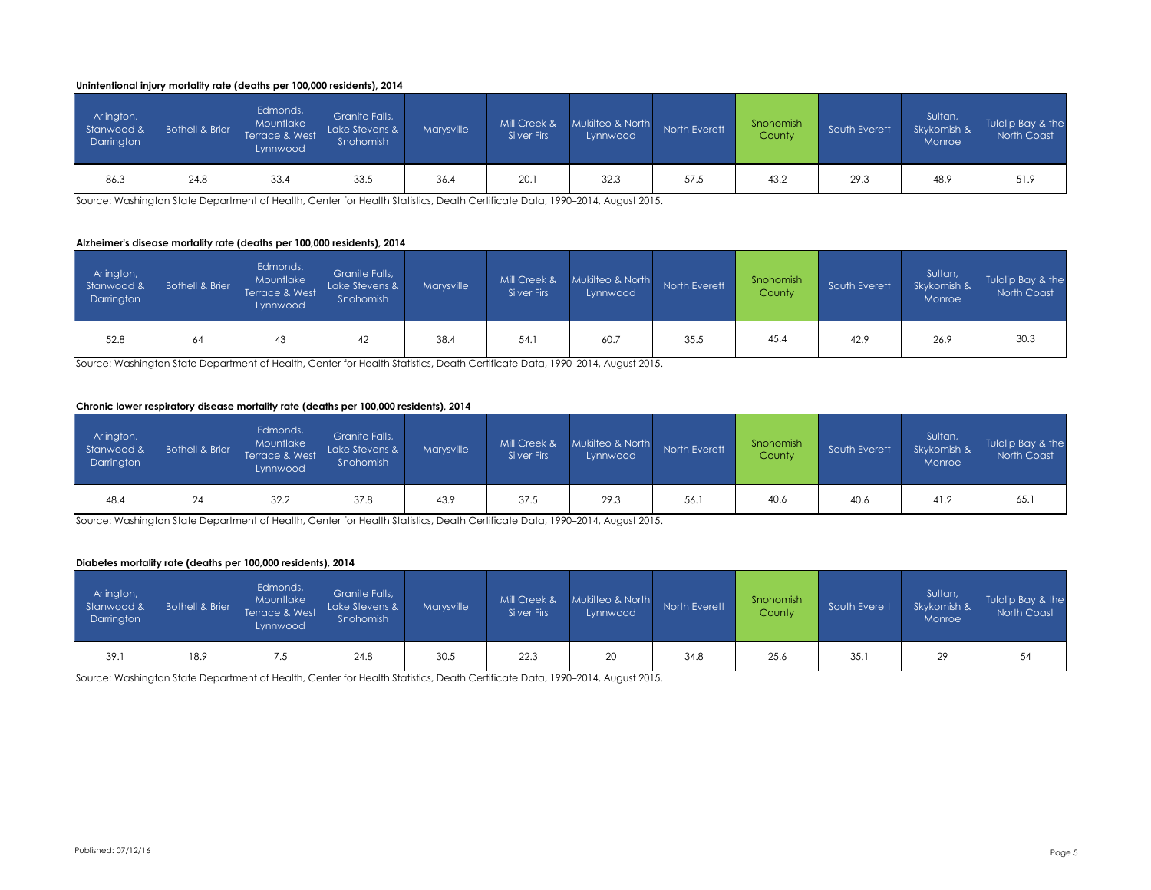#### **Unintentional injury mortality rate (deaths per 100,000 residents), 2014**

| Arlington,<br>Stanwood &<br>Darrington | <b>Bothell &amp; Brier</b> | Edmonds,<br>Mountlake<br>Terrace & West<br>Lynnwood | Granite Falls,<br>Lake Stevens &<br>Snohomish | Marvsville | Mill Creek &<br><b>Silver Firs</b> | Mukilteo & North<br>Lynnwood | North Everett | Snohomish<br>County | South Everett | Sultan,<br>Skykomish &<br>Monroe | Tulalip Bay & the<br>North Coast |
|----------------------------------------|----------------------------|-----------------------------------------------------|-----------------------------------------------|------------|------------------------------------|------------------------------|---------------|---------------------|---------------|----------------------------------|----------------------------------|
| 86.3                                   | 24.8                       | 33.4                                                | 33.5                                          | 36.4       | 20.1                               | 32.3                         | 57.5          | 43.2                | 29.3          | 48.9                             | 51.9                             |

Source: Washington State Department of Health, Center for Health Statistics, Death Certificate Data, 1990–2014, August 2015.

#### **Alzheimer's disease mortality rate (deaths per 100,000 residents), 2014**

| Arlington,<br>Stanwood &<br>Darrington | <b>Bothell &amp; Brier</b> | Edmonds,<br>Mountlake<br>Terrace & West<br>Lynnwood | Granite Falls,<br>Lake Stevens &<br>Snohomish | Marvsville | Mill Creek &<br><b>Silver Firs</b> | Mukilteo & North<br>Lynnwood | North Everett | Snohomish<br>County | South Everett | Sultan,<br>Skykomish &<br>Monroe | Tulalip Bay & the<br>North Coast |
|----------------------------------------|----------------------------|-----------------------------------------------------|-----------------------------------------------|------------|------------------------------------|------------------------------|---------------|---------------------|---------------|----------------------------------|----------------------------------|
| 52.8                                   | 64                         | 43                                                  | 42                                            | 38.4       | 54.1                               | 60.7                         | 35.5          | 45.4                | 42.9          | 26.9                             | 30.3                             |

Source: Washington State Department of Health, Center for Health Statistics, Death Certificate Data, 1990–2014, August 2015.

#### **Chronic lower respiratory disease mortality rate (deaths per 100,000 residents), 2014**

| Arlington,<br>Stanwood &<br>Darrington | <b>Bothell &amp; Brier</b> | Edmonds,<br>Mountlake<br>Terrace & West<br>Lynnwood | Granite Falls,<br>Lake Stevens &<br>Snohomish | Marvsville | Mill Creek &<br>Silver Firs | Mukilteo & North<br>Lynnwood | North Everett | Snohomish<br>County | South Everett | Sultan,<br>Skykomish &<br>Monroe | Tulalip Bay & the<br>North Coast |
|----------------------------------------|----------------------------|-----------------------------------------------------|-----------------------------------------------|------------|-----------------------------|------------------------------|---------------|---------------------|---------------|----------------------------------|----------------------------------|
| 48.4                                   | 24                         | 32.2                                                | 37.8                                          | 43.9       | 37.5                        | 29.3                         | 56.           | 40.6                | 40.6          | 41.2                             | 65.1                             |

Source: Washington State Department of Health, Center for Health Statistics, Death Certificate Data, 1990–2014, August 2015.

#### **Diabetes mortality rate (deaths per 100,000 residents), 2014**

| Arlington,<br>Stanwood &<br>Darrington | <b>Bothell &amp; Brier</b> | Edmonds,<br>Mountlake<br>Terrace & West<br>Lynnwood | Granite Falls,<br>Lake Stevens &<br>Snohomish | Marvsville | Mill Creek &<br><b>Silver Firs</b> | Mukilteo & North<br>Lynnwood | North Everett | Snohomish<br>County | South Everett | Sultan,<br>Skykomish &<br>Monroe | Tulalip Bay & the<br>North Coast |
|----------------------------------------|----------------------------|-----------------------------------------------------|-----------------------------------------------|------------|------------------------------------|------------------------------|---------------|---------------------|---------------|----------------------------------|----------------------------------|
| 39.1                                   | 18.9                       | 7.5                                                 | 24.8                                          | 30.5       | 22.3                               | 20                           | 34.8          | 25.6                | 35.1          | 29                               | 54                               |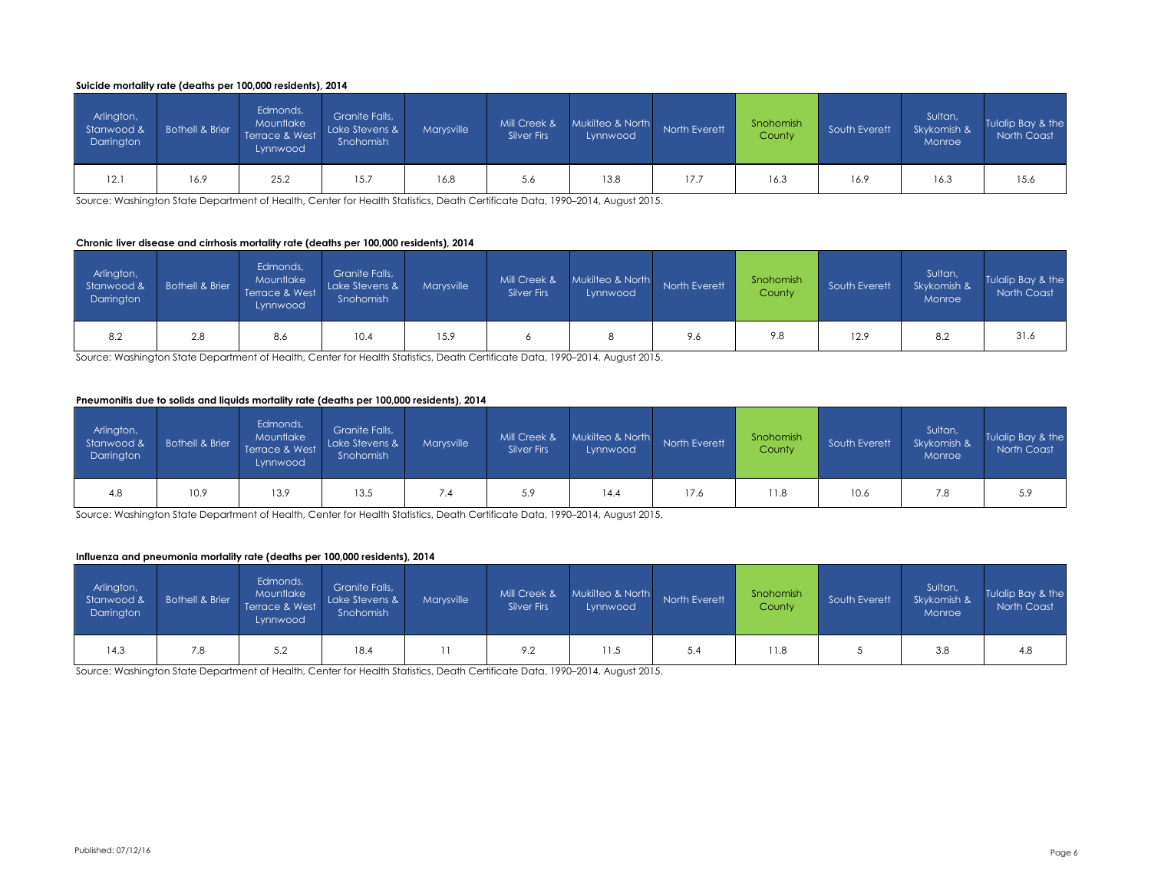#### **Suicide mortality rate (deaths per 100,000 residents), 2014**

| Arlington,<br>Stanwood &<br>Darrington | <b>Bothell &amp; Brier</b> | Edmonds,<br>Mountlake<br>Terrace & West<br>Lynnwood | Granite Falls,<br>Lake Stevens &<br>Snohomish | Marvsville | Mill Creek &<br><b>Silver Firs</b> | Mukilteo & North<br>Lynnwood | North Everett | Snohomish<br>County | South Everett | Sultan,<br>Skykomish &<br>Monroe | Tulalip Bay & the<br>North Coast |
|----------------------------------------|----------------------------|-----------------------------------------------------|-----------------------------------------------|------------|------------------------------------|------------------------------|---------------|---------------------|---------------|----------------------------------|----------------------------------|
| 12.1                                   | 16.9                       | 25.2                                                | 15.7                                          | 16.8       | 5.6                                | 13.8                         | 17.7          | 16.3                | 16.9          | 16.3                             | 15.6                             |

Source: Washington State Department of Health, Center for Health Statistics, Death Certificate Data, 1990–2014, August 2015.

#### **Chronic liver disease and cirrhosis mortality rate (deaths per 100,000 residents), 2014**

| Arlington,<br>Stanwood &<br>Darrington | Bothell & Brier | Edmonds,<br>Mountlake<br>Terrace & West<br>Lynnwood | Granite Falls,<br>Lake Stevens &<br>Snohomish | <b>Marysville</b> | Mill Creek &<br><b>Silver Firs</b> | Mukilteo & North<br>Lynnwood | North Everett | Snohomish<br>County | South Everett | Sultan,<br>Skykomish &<br>Monroe | Tulalip Bay & the<br>North Coast |
|----------------------------------------|-----------------|-----------------------------------------------------|-----------------------------------------------|-------------------|------------------------------------|------------------------------|---------------|---------------------|---------------|----------------------------------|----------------------------------|
| 8.2                                    | 2.8             | 8.6                                                 | 10.4                                          | 15.9              |                                    |                              | 9.6           | 9.8                 | 12.9          | 8.2                              | 31.6                             |

Source: Washington State Department of Health, Center for Health Statistics, Death Certificate Data, 1990–2014, August 2015.

#### **Pneumonitis due to solids and liquids mortality rate (deaths per 100,000 residents), 2014**

| Arlington,<br>Stanwood &<br>Darrington | Bothell & Brier | Edmonds,<br>Mountlake<br>Terrace & West<br>Lynnwood | Granite Falls,<br>Lake Stevens &<br>Snohomish | Marvsville | Mill Creek &<br>Silver Firs | Mukilteo & North<br>Lynnwood | North Everett | Snohomish<br>County | South Everett | Sultan,<br>Skykomish &<br>Monroe | Tulalip Bay & the<br><b>North Coast</b> |
|----------------------------------------|-----------------|-----------------------------------------------------|-----------------------------------------------|------------|-----------------------------|------------------------------|---------------|---------------------|---------------|----------------------------------|-----------------------------------------|
| 4.8                                    | 10.9            | 13.9                                                | 13.5                                          | 7.4        | 5.9                         | 14.4                         | 17.6          | 11.8                | 10.6          | 7.8                              | 5.9                                     |

Source: Washington State Department of Health, Center for Health Statistics, Death Certificate Data, 1990–2014, August 2015.

#### **Influenza and pneumonia mortality rate (deaths per 100,000 residents), 2014**

| Arlington,<br>Stanwood &<br>Darrington | <b>Bothell &amp; Brier</b> | Edmonds,<br>Mountlake<br>Terrace & West<br>Lynnwood | Granite Falls,<br>Lake Stevens &<br>Snohomish | Marysville | Mill Creek &<br><b>Silver Firs</b> | Mukilteo & North<br>Lynnwood | North Everett | Snohomish<br>County | South Everett | Sultan,<br>Skykomish &<br>Monroe | Tulalip Bay & the<br>North Coast |
|----------------------------------------|----------------------------|-----------------------------------------------------|-----------------------------------------------|------------|------------------------------------|------------------------------|---------------|---------------------|---------------|----------------------------------|----------------------------------|
| 14.3                                   | 7.8                        | 5.2                                                 | 18.4                                          |            | 9.2                                | 11.5                         | 5.4           | 1.8                 |               | 3.8                              | 4.8                              |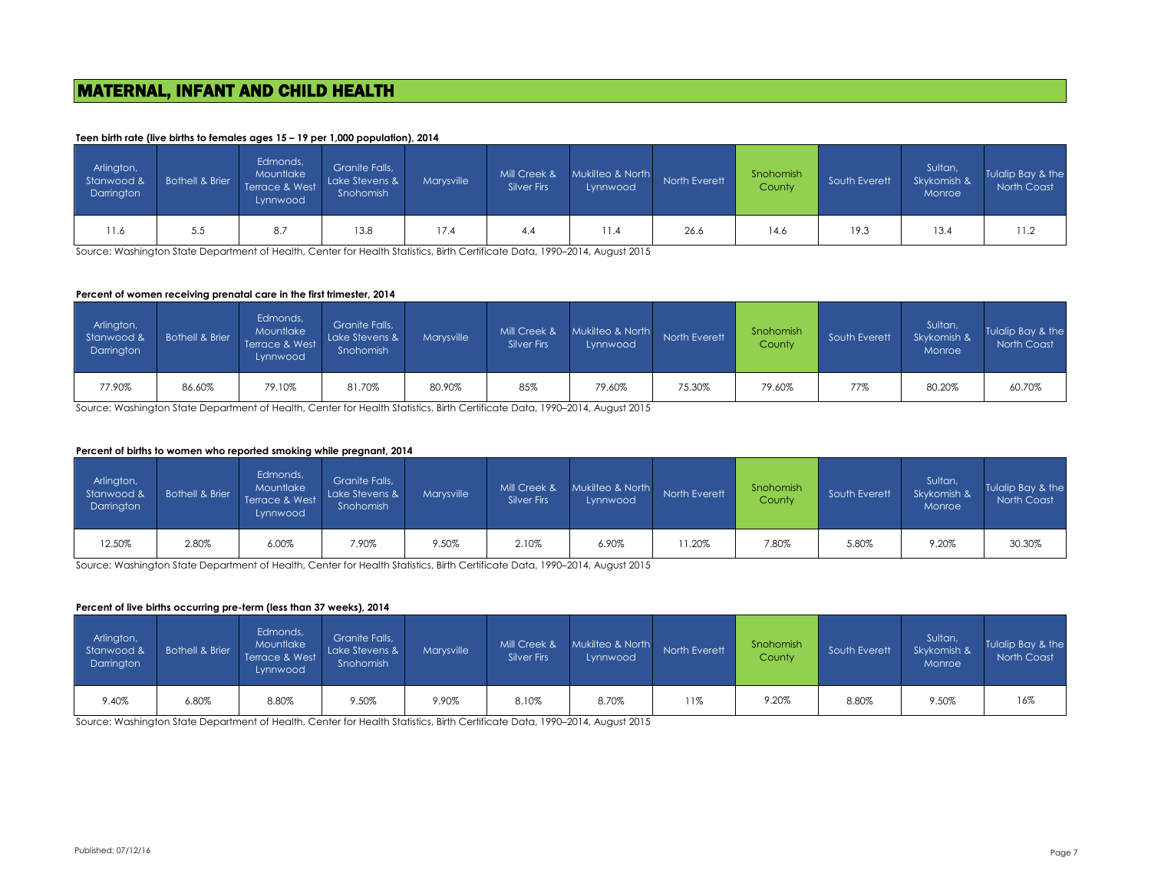# MATERNAL, INFANT AND CHILD HEALTH

#### **Teen birth rate (live births to females ages 15 – 19 per 1,000 population), 2014**

| Arlington,<br>Stanwood &<br>Darrington | Bothell & Brier | Edmonds,<br>Mountlake<br>Terrace & West<br>Lynnwood | Granite Falls,<br>Lake Stevens &<br>Snohomish | Marvsville | Mill Creek &<br><b>Silver Firs</b> | Mukilteo & North<br>Lynnwood | North Everett | Snohomish<br>County | South Everett | Sultan,<br>Skykomish &<br>Monroe | Tulalip Bay & the<br>North Coast |
|----------------------------------------|-----------------|-----------------------------------------------------|-----------------------------------------------|------------|------------------------------------|------------------------------|---------------|---------------------|---------------|----------------------------------|----------------------------------|
| 11.6                                   | 5.5             | 8.7                                                 | 13.8                                          | 17.4       | 4.4                                | 11.4                         | 26.6          | 14.6                | 19.3          | 13.4                             | 11.2                             |

Source: Washington State Department of Health, Center for Health Statistics, Birth Certificate Data, 1990–2014, August 2015

#### **Percent of women receiving prenatal care in the first trimester, 2014**

| Arlington,<br>Stanwood &<br>Darrington | <b>Bothell &amp; Brier</b> | Edmonds,<br>Mountlake<br>Terrace & West<br>Lynnwood | Granite Falls,<br>Lake Stevens &<br>Snohomish | Marvsville | Mill Creek &<br>Silver Firs | Mukilteo & North<br>Lynnwood | North Everett | Snohomish<br>County | South Everett | Sultan,<br>Skykomish &<br>Monroe | Tulalip Bay & the<br>North Coast |
|----------------------------------------|----------------------------|-----------------------------------------------------|-----------------------------------------------|------------|-----------------------------|------------------------------|---------------|---------------------|---------------|----------------------------------|----------------------------------|
| 77.90%                                 | 86.60%                     | 79.10%                                              | 81.70%                                        | 80.90%     | 85%                         | 79.60%                       | 75.30%        | 79.60%              | 77%           | 80.20%                           | 60.70%                           |

Source: Washington State Department of Health, Center for Health Statistics, Birth Certificate Data, 1990–2014, August 2015

#### **Percent of births to women who reported smoking while pregnant, 2014**

| Arlington,<br>Stanwood &<br>Darrington | Bothell & Brier | Edmonds,<br>Mountlake<br>Terrace & West<br>Lynnwood | Granite Falls,<br>Lake Stevens &<br>Snohomish | Marvsville | Mill Creek &<br>Silver Firs | Mukilteo & North<br>Lynnwood | North Everett | Snohomish<br>County | South Everett | Sultan,<br>Skykomish &<br>Monroe | Tulalip Bay & the<br>North Coast |
|----------------------------------------|-----------------|-----------------------------------------------------|-----------------------------------------------|------------|-----------------------------|------------------------------|---------------|---------------------|---------------|----------------------------------|----------------------------------|
| 12.50%                                 | 2.80%           | 6.00%                                               | 7.90%                                         | 9.50%      | 2.10%                       | 6.90%                        | 11.20%        | 7.80%               | 5.80%         | 9.20%                            | 30.30%                           |

Source: Washington State Department of Health, Center for Health Statistics, Birth Certificate Data, 1990–2014, August 2015

#### **Percent of live births occurring pre-term (less than 37 weeks), 2014**

| Arlington,<br>Stanwood &<br>Darrington | <b>Bothell &amp; Brier</b> | Edmonds,<br>Mountlake<br>Terrace & West<br>Lynnwood | Granite Falls,<br>Lake Stevens &<br>Snohomish | Marvsville | Mill Creek &<br>Silver Firs | Mukilteo & North<br>Lynnwood | North Everett | Snohomish<br>County | South Everett | Sultan,<br>Skykomish &<br>Monroe | Tulalip Bay & the<br>North Coast |
|----------------------------------------|----------------------------|-----------------------------------------------------|-----------------------------------------------|------------|-----------------------------|------------------------------|---------------|---------------------|---------------|----------------------------------|----------------------------------|
| 9.40%                                  | 6.80%                      | 8.80%                                               | 9.50%                                         | 9.90%      | 8.10%                       | 8.70%                        | 11%           | 9.20%               | 8.80%         | 9.50%                            | 16%                              |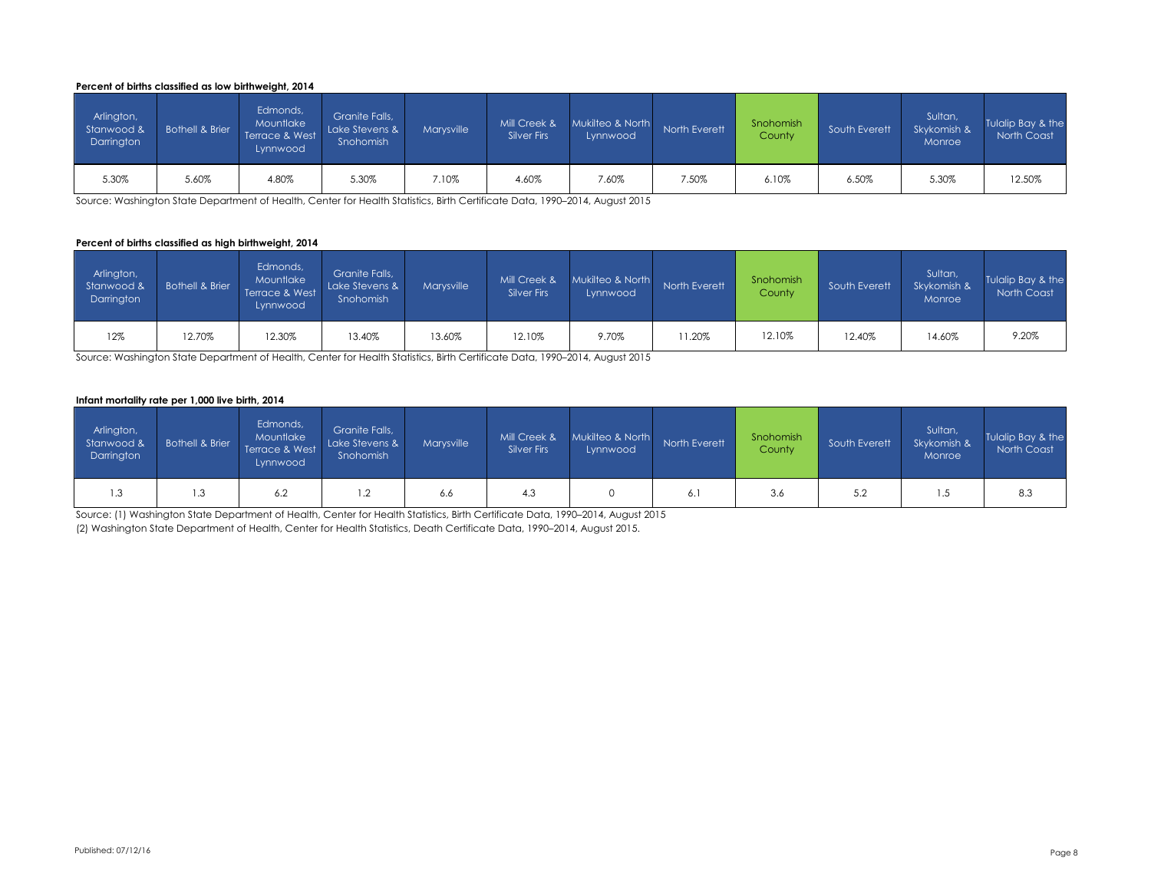#### **Percent of births classified as low birthweight, 2014**

| Arlington,<br>Stanwood &<br>Darrington | <b>Bothell &amp; Brier</b> | Edmonds,<br>Mountlake<br>Terrace & West<br>Lynnwood | Granite Falls,<br>Lake Stevens &<br>Snohomish | Marvsville | Mill Creek &<br><b>Silver Firs</b> | Mukilteo & North<br>Lynnwood | North Everett | Snohomish<br>County | South Everett | Sultan,<br>Skykomish &<br>Monroe | Tulalip Bay & the<br>North Coast |
|----------------------------------------|----------------------------|-----------------------------------------------------|-----------------------------------------------|------------|------------------------------------|------------------------------|---------------|---------------------|---------------|----------------------------------|----------------------------------|
| 5.30%                                  | 5.60%                      | 4.80%                                               | 5.30%                                         | 7.10%      | 4.60%                              | 7.60%                        | 7.50%         | 6.10%               | 6.50%         | 5.30%                            | 12.50%                           |

Source: Washington State Department of Health, Center for Health Statistics, Birth Certificate Data, 1990–2014, August 2015

#### **Percent of births classified as high birthweight, 2014**

| Arlington,<br>Stanwood &<br>Darrington | <b>Bothell &amp; Brier</b> | Edmonds,<br>Mountlake<br>Terrace & West<br>Lynnwood | Granite Falls,<br>Lake Stevens &<br>Snohomish | Marvsville | Mill Creek &<br>Silver Firs | Mukilteo & North<br>Lynnwood | North Everett | Snohomish<br>County | South Everett | Sultan,<br>Skykomish &<br>Monroe | Tulalip Bay & the<br>North Coast |
|----------------------------------------|----------------------------|-----------------------------------------------------|-----------------------------------------------|------------|-----------------------------|------------------------------|---------------|---------------------|---------------|----------------------------------|----------------------------------|
| 12%                                    | 12.70%                     | 12.30%                                              | 13.40%                                        | 13.60%     | 12.10%                      | 9.70%                        | 11.20%        | 12.10%              | 12.40%        | 14.60%                           | 9.20%                            |

Source: Washington State Department of Health, Center for Health Statistics, Birth Certificate Data, 1990–2014, August 2015

#### **Infant mortality rate per 1,000 live birth, 2014**

| Arlington,<br>Stanwood &<br>Darrington | <b>Bothell &amp; Brier</b> | Edmonds,<br>Mountlake<br>Terrace & West<br>Lynnwood | Granite Falls,<br>Lake Stevens &<br>Snohomish | Marysville | Mill Creek &<br><b>Silver Firs</b> | Mukilteo & North<br>Lynnwood | North Everett | Snohomish<br>County | South Everett | Sultan,<br>Skykomish &<br>Monroe | Tulalip Bay & the<br>North Coast |
|----------------------------------------|----------------------------|-----------------------------------------------------|-----------------------------------------------|------------|------------------------------------|------------------------------|---------------|---------------------|---------------|----------------------------------|----------------------------------|
| I .3                                   | 1.3                        | 6.2                                                 | $\sim$<br>$\cdot$                             | 6.6        | 4.3                                |                              | 6.            | 3.6                 | 5.2           | ن. ا                             | 8.3                              |

Source: (1) Washington State Department of Health, Center for Health Statistics, Birth Certificate Data, 1990–2014, August 2015